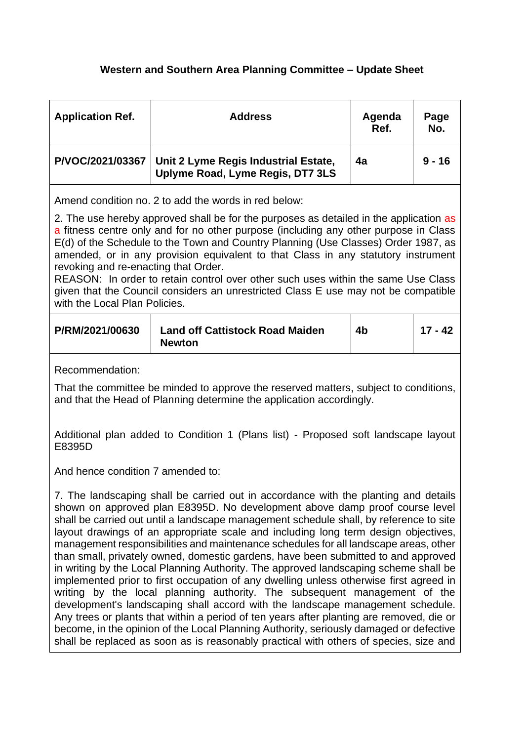## **Western and Southern Area Planning Committee – Update Sheet**

| <b>Application Ref.</b> | <b>Address</b>                                                           | Agenda<br>Ref. | Page<br>No. |
|-------------------------|--------------------------------------------------------------------------|----------------|-------------|
| P/VOC/2021/03367        | Unit 2 Lyme Regis Industrial Estate,<br>Uplyme Road, Lyme Regis, DT7 3LS | 4a             | $9 - 16$    |

Amend condition no. 2 to add the words in red below:

2. The use hereby approved shall be for the purposes as detailed in the application as a fitness centre only and for no other purpose (including any other purpose in Class E(d) of the Schedule to the Town and Country Planning (Use Classes) Order 1987, as amended, or in any provision equivalent to that Class in any statutory instrument revoking and re-enacting that Order.

REASON: In order to retain control over other such uses within the same Use Class given that the Council considers an unrestricted Class E use may not be compatible with the Local Plan Policies.

| P/RM/2021/00630 | <b>Land off Cattistock Road Maiden</b><br><b>Newton</b> | 4b | 17 - 42 |
|-----------------|---------------------------------------------------------|----|---------|
|-----------------|---------------------------------------------------------|----|---------|

Recommendation:

That the committee be minded to approve the reserved matters, subject to conditions, and that the Head of Planning determine the application accordingly.

Additional plan added to Condition 1 (Plans list) - Proposed soft landscape layout E8395D

And hence condition 7 amended to:

7. The landscaping shall be carried out in accordance with the planting and details shown on approved plan E8395D. No development above damp proof course level shall be carried out until a landscape management schedule shall, by reference to site layout drawings of an appropriate scale and including long term design objectives, management responsibilities and maintenance schedules for all landscape areas, other than small, privately owned, domestic gardens, have been submitted to and approved in writing by the Local Planning Authority. The approved landscaping scheme shall be implemented prior to first occupation of any dwelling unless otherwise first agreed in writing by the local planning authority. The subsequent management of the development's landscaping shall accord with the landscape management schedule. Any trees or plants that within a period of ten years after planting are removed, die or become, in the opinion of the Local Planning Authority, seriously damaged or defective shall be replaced as soon as is reasonably practical with others of species, size and